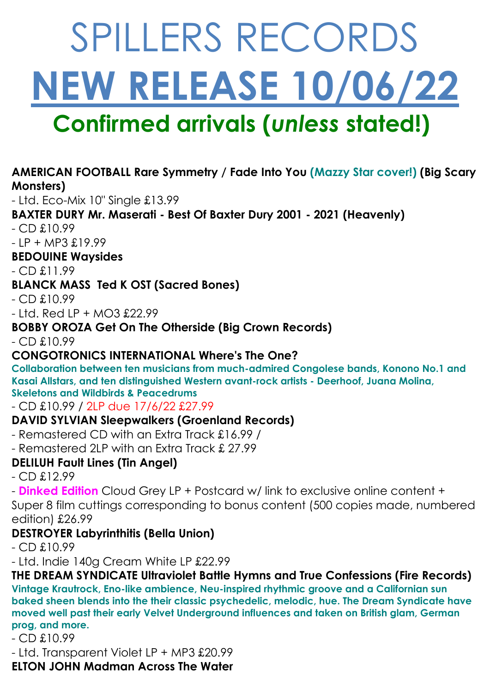# SPILLERS RECORDS **NEW RELEASE 10/06/22 Confirmed arrivals (***unless* **stated!)**

# **AMERICAN FOOTBALL Rare Symmetry / Fade Into You (Mazzy Star cover!) (Big Scary Monsters)**

- Ltd. Eco-Mix 10" Single £13.99

# **BAXTER DURY Mr. Maserati - Best Of Baxter Dury 2001 - 2021 (Heavenly)**

- CD £10.99

 $- IP + MP3 f.19.99$ 

**BEDOUINE Waysides**

- CD £11.99

## **BLANCK MASS Ted K OST (Sacred Bones)**

- CD £10.99

 $-$  Ltd. Red LP + MO3 £22.99

# **BOBBY OROZA Get On The Otherside (Big Crown Records)**

- CD £10.99

# **CONGOTRONICS INTERNATIONAL Where's The One?**

**Collaboration between ten musicians from much-admired Congolese bands, Konono No.1 and Kasai Allstars, and ten distinguished Western avant-rock artists - Deerhoof, Juana Molina, Skeletons and Wildbirds & Peacedrums**

- CD £10.99 / 2LP due 17/6/22 £27.99

# **DAVID SYLVIAN Sleepwalkers (Groenland Records)**

- Remastered CD with an Extra Track £16.99 /

- Remastered 2LP with an Extra Track £ 27.99

# **DELILUH Fault Lines (Tin Angel)**

 $-$  CD  $f.12.99$ 

- **Dinked Edition** Cloud Grey LP + Postcard w/ link to exclusive online content +

Super 8 film cuttings corresponding to bonus content (500 copies made, numbered edition) £26.99

# **DESTROYER Labyrinthitis (Bella Union)**

- CD £10.99

- Ltd. Indie 140g Cream White LP £22.99

**THE DREAM SYNDICATE Ultraviolet Battle Hymns and True Confessions (Fire Records) Vintage Krautrock, Eno-like ambience, Neu-inspired rhythmic groove and a Californian sun baked sheen blends into the their classic psychedelic, melodic, hue. The Dream Syndicate have moved well past their early Velvet Underground influences and taken on British glam, German prog, and more.**

- CD £10.99

- Ltd. Transparent Violet LP + MP3 £20.99

**ELTON JOHN Madman Across The Water**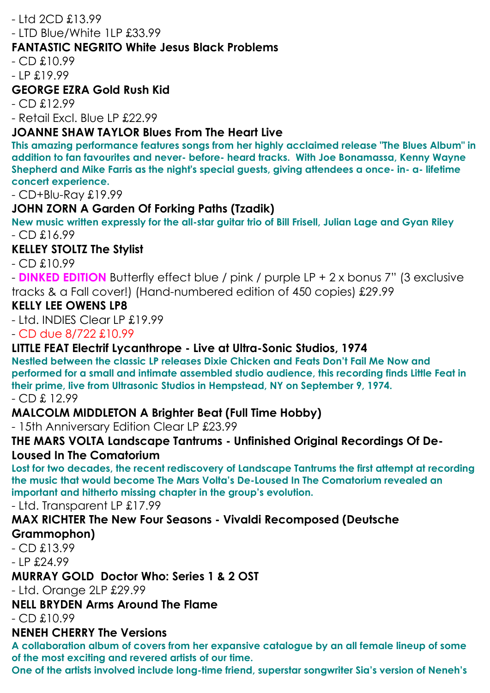#### - Ltd 2CD £13.99

- LTD Blue/White 1LP £33.99

#### **FANTASTIC NEGRITO White Jesus Black Problems**

 $-$  CD  $£10.99$ 

- LP £19.99

#### **GEORGE EZRA Gold Rush Kid**

- CD £12.99

- Retail Excl. Blue LP £22.99

#### **JOANNE SHAW TAYLOR Blues From The Heart Live**

**This amazing performance features songs from her highly acclaimed release "The Blues Album" in addition to fan favourites and never- before- heard tracks. With Joe Bonamassa, Kenny Wayne Shepherd and Mike Farris as the night's special guests, giving attendees a once- in- a- lifetime concert experience.**

- CD+Blu-Ray £19.99

#### **JOHN ZORN A Garden Of Forking Paths (Tzadik)**

**New music written expressly for the all-star guitar trio of Bill Frisell, Julian Lage and Gyan Riley** - CD £16.99

#### **KELLEY STOLTZ The Stylist**

- CD £10.99

- **DINKED EDITION** Butterfly effect blue / pink / purple LP + 2 x bonus 7" (3 exclusive tracks & a Fall cover!) (Hand-numbered edition of 450 copies) £29.99

#### **KELLY LEE OWENS LP8**

- Ltd. INDIES Clear LP £19.99

- CD due 8/722 £10.99

#### **LITTLE FEAT Electrif Lycanthrope - Live at Ultra-Sonic Studios, 1974**

**Nestled between the classic LP releases Dixie Chicken and Feats Don't Fail Me Now and performed for a small and intimate assembled studio audience, this recording finds Little Feat in their prime, live from Ultrasonic Studios in Hempstead, NY on September 9, 1974.**

#### - CD £ 12.99

#### **MALCOLM MIDDLETON A Brighter Beat (Full Time Hobby)**

- 15th Anniversary Edition Clear LP £23.99

#### **THE MARS VOLTA Landscape Tantrums - Unfinished Original Recordings Of De-Loused In The Comatorium**

**Lost for two decades, the recent rediscovery of Landscape Tantrums the first attempt at recording the music that would become The Mars Volta's De-Loused In The Comatorium revealed an important and hitherto missing chapter in the group's evolution.**

- Ltd. Transparent LP £17.99

# **MAX RICHTER The New Four Seasons - Vivaldi Recomposed (Deutsche**

#### **Grammophon)**

- CD £13.99

- LP £24.99

#### **MURRAY GOLD Doctor Who: Series 1 & 2 OST**

- Ltd. Orange 2LP £29.99

#### **NELL BRYDEN Arms Around The Flame**

- CD £10.99

#### **NENEH CHERRY The Versions**

**A collaboration album of covers from her expansive catalogue by an all female lineup of some of the most exciting and revered artists of our time.** 

**One of the artists involved include long-time friend, superstar songwriter Sia's version of Neneh's**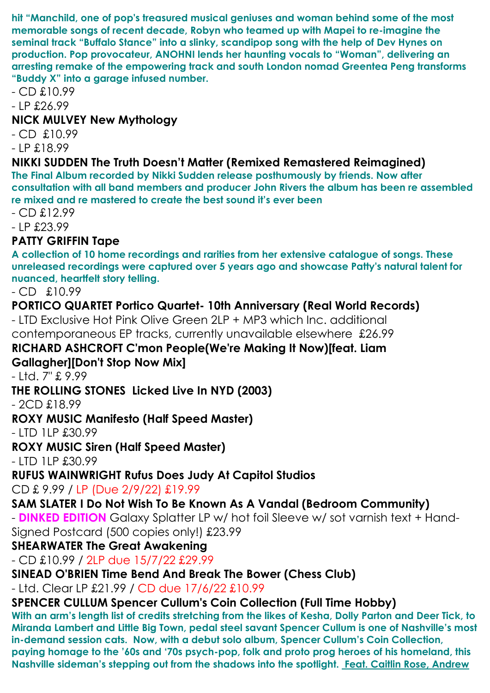**hit "Manchild, one of pop's treasured musical geniuses and woman behind some of the most memorable songs of recent decade, Robyn who teamed up with Mapei to re-imagine the seminal track "Buffalo Stance" into a slinky, scandipop song with the help of Dev Hynes on production. Pop provocateur, ANOHNI lends her haunting vocals to "Woman", delivering an arresting remake of the empowering track and south London nomad Greentea Peng transforms "Buddy X" into a garage infused number.**

- CD £10.99

 $- IP$  £26.99

#### **NICK MULVEY New Mythology**

- CD £10.99

- LP £18.99

#### **NIKKI SUDDEN The Truth Doesn't Matter (Remixed Remastered Reimagined)**

**The Final Album recorded by Nikki Sudden release posthumously by friends. Now after consultation with all band members and producer John Rivers the album has been re assembled re mixed and re mastered to create the best sound it's ever been**

- CD £12.99

- LP £23.99

## **PATTY GRIFFIN Tape**

**A collection of 10 home recordings and rarities from her extensive catalogue of songs. These unreleased recordings were captured over 5 years ago and showcase Patty's natural talent for nuanced, heartfelt story telling.**

- CD £10.99

#### **PORTICO QUARTET Portico Quartet- 10th Anniversary (Real World Records)**

- LTD Exclusive Hot Pink Olive Green 2LP + MP3 which Inc. additional contemporaneous EP tracks, currently unavailable elsewhere £26.99

## **RICHARD ASHCROFT C'mon People(We're Making It Now)[feat. Liam**

## **Gallagher][Don't Stop Now Mix]**

- Ltd. 7" £ 9.99

#### **THE ROLLING STONES Licked Live In NYD (2003)**

- 2CD £18.99

## **ROXY MUSIC Manifesto (Half Speed Master)**

- LTD 1LP £30.99

## **ROXY MUSIC Siren (Half Speed Master)**

- LTD 1LP £30.99

## **RUFUS WAINWRIGHT Rufus Does Judy At Capitol Studios**

CD £ 9.99 / LP (Due 2/9/22) £19.99

## **SAM SLATER I Do Not Wish To Be Known As A Vandal (Bedroom Community)**

- **DINKED EDITION** Galaxy Splatter LP w/ hot foil Sleeve w/ sot varnish text + Hand-Signed Postcard (500 copies only!) £23.99

#### **SHEARWATER The Great Awakening**

- CD £10.99 / 2LP due 15/7/22 £29.99

**SINEAD O'BRIEN Time Bend And Break The Bower (Chess Club)** 

- Ltd. Clear LP £21.99 / CD due 17/6/22 £10.99

## **SPENCER CULLUM Spencer Cullum's Coin Collection (Full Time Hobby)**

**With an arm's length list of credits stretching from the likes of Kesha, Dolly Parton and Deer Tick, to Miranda Lambert and Little Big Town, pedal steel savant Spencer Cullum is one of Nashville's most in-demand session cats. Now, with a debut solo album, Spencer Cullum's Coin Collection, paying homage to the '60s and '70s psych-pop, folk and proto prog heroes of his homeland, this Nashville sideman's stepping out from the shadows into the spotlight. Feat. Caitlin Rose, Andrew**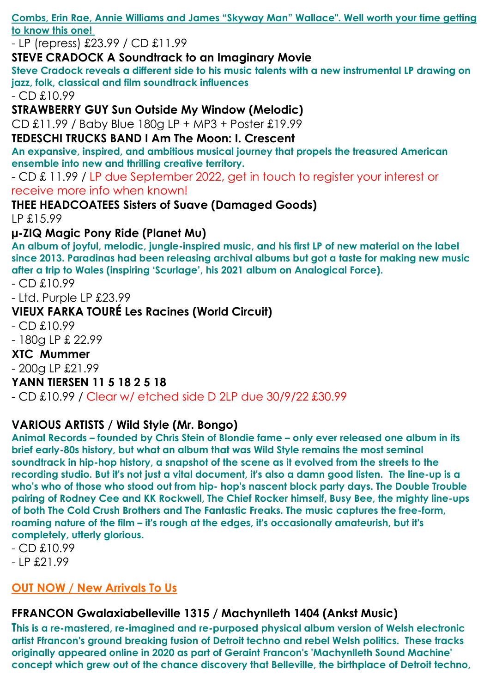**Combs, Erin Rae, Annie Williams and James "Skyway Man" Wallace". Well worth your time getting to know this one!**

- LP (repress) £23.99 / CD £11.99

#### **STEVE CRADOCK A Soundtrack to an Imaginary Movie**

**Steve Cradock reveals a different side to his music talents with a new instrumental LP drawing on jazz, folk, classical and film soundtrack influences**

- CD £10.99

**STRAWBERRY GUY Sun Outside My Window (Melodic)** 

CD £11.99 / Baby Blue 180g LP + MP3 + Poster £19.99

**TEDESCHI TRUCKS BAND I Am The Moon: I. Crescent**

**An expansive, inspired, and ambitious musical journey that propels the treasured American ensemble into new and thrilling creative territory.**

- CD £ 11.99 / LP due September 2022, get in touch to register your interest or receive more info when known!

**THEE HEADCOATEES Sisters of Suave (Damaged Goods)**  LP £15.99

**µ-ZIQ Magic Pony Ride (Planet Mu)** 

**An album of joyful, melodic, jungle-inspired music, and his first LP of new material on the label since 2013. Paradinas had been releasing archival albums but got a taste for making new music after a trip to Wales (inspiring 'Scurlage', his 2021 album on Analogical Force).**

- CD £10.99

- Ltd. Purple LP £23.99

## **VIEUX FARKA TOURÉ Les Racines (World Circuit)**

 $-$  CD  $£10.99$ 

- 180g LP £ 22.99

#### **XTC Mummer**

- 200g LP £21.99

## **YANN TIERSEN 11 5 18 2 5 18**

- CD £10.99 / Clear w/ etched side D 2LP due 30/9/22 £30.99

## **VARIOUS ARTISTS / Wild Style (Mr. Bongo)**

**Animal Records – founded by Chris Stein of Blondie fame – only ever released one album in its brief early-80s history, but what an album that was Wild Style remains the most seminal soundtrack in hip-hop history, a snapshot of the scene as it evolved from the streets to the recording studio. But it's not just a vital document, it's also a damn good listen. The line-up is a who's who of those who stood out from hip- hop's nascent block party days. The Double Trouble pairing of Rodney Cee and KK Rockwell, The Chief Rocker himself, Busy Bee, the mighty line-ups of both The Cold Crush Brothers and The Fantastic Freaks. The music captures the free-form, roaming nature of the film – it's rough at the edges, it's occasionally amateurish, but it's completely, utterly glorious.**

- CD £10.99
- LP £21.99

# **OUT NOW / New Arrivals To Us**

# **FFRANCON Gwalaxiabelleville 1315 / Machynlleth 1404 (Ankst Music)**

**This is a re-mastered, re-imagined and re-purposed physical album version of Welsh electronic artist Ffrancon's ground breaking fusion of Detroit techno and rebel Welsh politics. These tracks originally appeared online in 2020 as part of Geraint Francon's 'Machynlleth Sound Machine' concept which grew out of the chance discovery that Belleville, the birthplace of Detroit techno,**